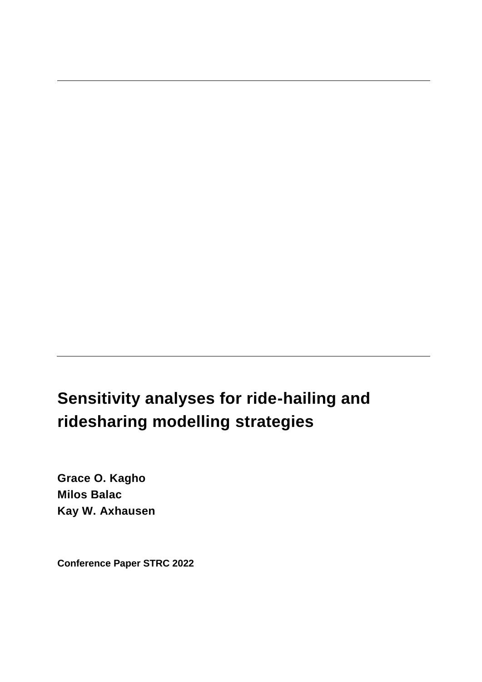## **Sensitivity analyses for ride-hailing and ridesharing modelling strategies**

**Grace O. Kagho Milos Balac Kay W. Axhausen**

**Conference Paper STRC 2022**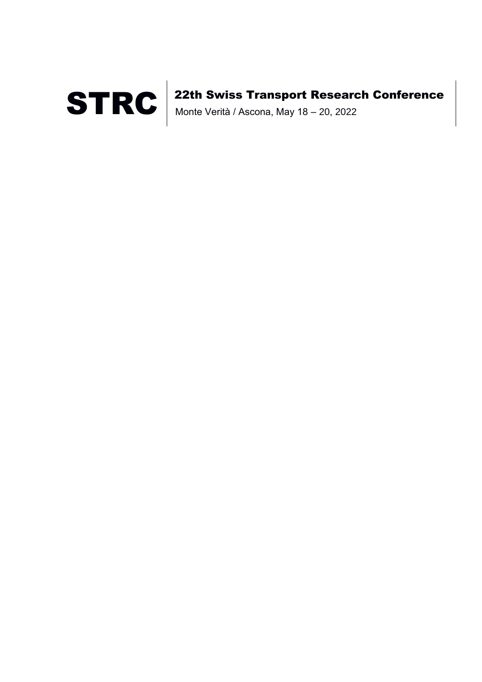# STRC | 22th Swiss Transport Research Conference<br>Monte Verità / Ascona, May 18 – 20, 2022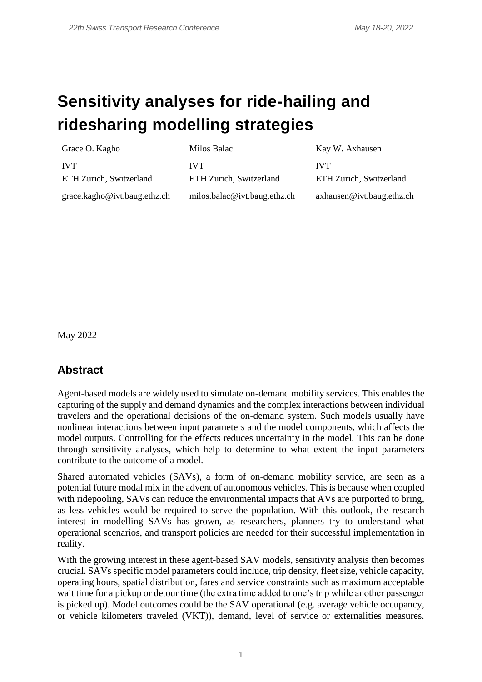### **Sensitivity analyses for ride-hailing and ridesharing modelling strategies**

| Grace O. Kagho               | Milos Balac                  | Kay W. Axhausen           |
|------------------------------|------------------------------|---------------------------|
| <b>IVT</b>                   | <b>IVT</b>                   | <b>IVT</b>                |
| ETH Zurich, Switzerland      | ETH Zurich, Switzerland      | ETH Zurich, Switzerland   |
| grace.kagho@ivt.baug.ethz.ch | milos.balac@ivt.baug.ethz.ch | axhausen@ivt.baug.ethz.ch |

May 2022

#### **Abstract**

Agent-based models are widely used to simulate on-demand mobility services. This enables the capturing of the supply and demand dynamics and the complex interactions between individual travelers and the operational decisions of the on-demand system. Such models usually have nonlinear interactions between input parameters and the model components, which affects the model outputs. Controlling for the effects reduces uncertainty in the model. This can be done through sensitivity analyses, which help to determine to what extent the input parameters contribute to the outcome of a model.

Shared automated vehicles (SAVs), a form of on-demand mobility service, are seen as a potential future modal mix in the advent of autonomous vehicles. This is because when coupled with ridepooling, SAVs can reduce the environmental impacts that AVs are purported to bring, as less vehicles would be required to serve the population. With this outlook, the research interest in modelling SAVs has grown, as researchers, planners try to understand what operational scenarios, and transport policies are needed for their successful implementation in reality.

With the growing interest in these agent-based SAV models, sensitivity analysis then becomes crucial. SAVs specific model parameters could include, trip density, fleet size, vehicle capacity, operating hours, spatial distribution, fares and service constraints such as maximum acceptable wait time for a pickup or detour time (the extra time added to one's trip while another passenger is picked up). Model outcomes could be the SAV operational (e.g. average vehicle occupancy, or vehicle kilometers traveled (VKT)), demand, level of service or externalities measures.